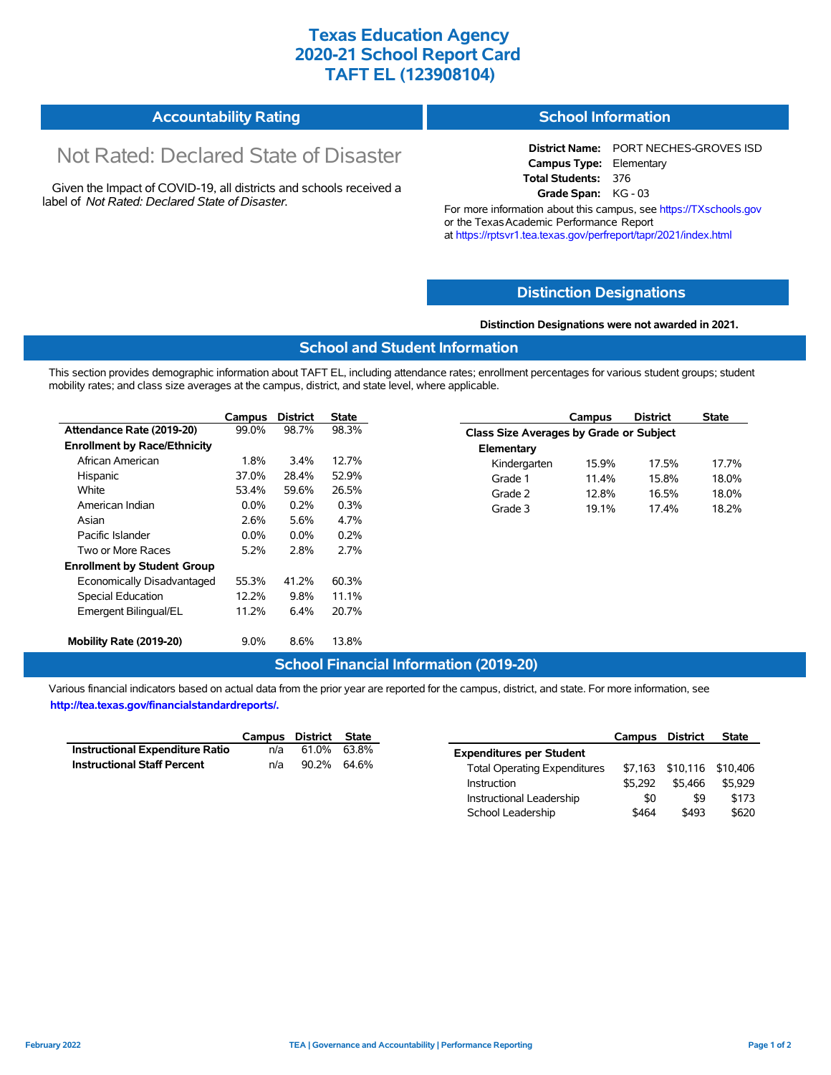# **Texas Education Agency 2020-21 School Report Card TAFT EL (123908104)**

| Accountability Rating | <b>School Information</b> |
|-----------------------|---------------------------|
|-----------------------|---------------------------|

# Not Rated: Declared State of Disaster

Given the Impact of COVID-19, all districts and schools received a label of *Not Rated: Declared State of Disaster.*

**District Name:** PORT NECHES-GROVES ISD **Campus Type:** Elementary **Total Students:** 376 **Grade Span:** KG - 03

For more information about this campus, see https://TXschools.gov or the Texas Academic Performance Report at https://rptsvr1.tea.texas.gov/perfreport/tapr/2021/index.html

### **Distinction Designations**

#### **Distinction Designations were not awarded in 2021.**

#### **School and Student Information**

This section provides demographic information about TAFT EL, including attendance rates; enrollment percentages for various student groups; student mobility rates; and class size averages at the campus, district, and state level, where applicable.

|                                     | Campus  | <b>District</b> | <b>State</b> |              | Campus                                         | <b>District</b> | <b>State</b> |  |  |
|-------------------------------------|---------|-----------------|--------------|--------------|------------------------------------------------|-----------------|--------------|--|--|
| Attendance Rate (2019-20)           | 99.0%   | 98.7%           | 98.3%        |              | <b>Class Size Averages by Grade or Subject</b> |                 |              |  |  |
| <b>Enrollment by Race/Ethnicity</b> |         |                 |              | Elementary   |                                                |                 |              |  |  |
| African American                    | 1.8%    | 3.4%            | 12.7%        | Kindergarten | 15.9%                                          | 17.5%           | 17.7%        |  |  |
| Hispanic                            | 37.0%   | 28.4%           | 52.9%        | Grade 1      | 11.4%                                          | 15.8%           | 18.0%        |  |  |
| White                               | 53.4%   | 59.6%           | 26.5%        | Grade 2      | 12.8%                                          | 16.5%           | 18.0%        |  |  |
| American Indian                     | $0.0\%$ | 0.2%            | 0.3%         | Grade 3      | 19.1%                                          | 17.4%           | 18.2%        |  |  |
| Asian                               | 2.6%    | 5.6%            | 4.7%         |              |                                                |                 |              |  |  |
| Pacific Islander                    | $0.0\%$ | $0.0\%$         | 0.2%         |              |                                                |                 |              |  |  |
| Two or More Races                   | 5.2%    | 2.8%            | 2.7%         |              |                                                |                 |              |  |  |
| <b>Enrollment by Student Group</b>  |         |                 |              |              |                                                |                 |              |  |  |
| Economically Disadvantaged          | 55.3%   | 41.2%           | 60.3%        |              |                                                |                 |              |  |  |
| Special Education                   | 12.2%   | 9.8%            | 11.1%        |              |                                                |                 |              |  |  |
| Emergent Bilingual/EL               | 11.2%   | 6.4%            | 20.7%        |              |                                                |                 |              |  |  |
| Mobility Rate (2019-20)             | $9.0\%$ | 8.6%            | 13.8%        |              |                                                |                 |              |  |  |

#### **School Financial Information (2019-20)**

Various financial indicators based on actual data from the prior year are reported for the campus, district, and state. For more information, see **http://tea.texas.gov/financialstandardreports/.**

|                                        | Campus District State |             |  |
|----------------------------------------|-----------------------|-------------|--|
| <b>Instructional Expenditure Ratio</b> | n/a                   | 61.0% 63.8% |  |
| <b>Instructional Staff Percent</b>     | n/a                   | 90.2% 64.6% |  |

|                                     | <b>Campus</b> | District | <b>State</b> |
|-------------------------------------|---------------|----------|--------------|
| <b>Expenditures per Student</b>     |               |          |              |
| <b>Total Operating Expenditures</b> | \$7.163       | \$10,116 | \$10,406     |
| Instruction                         | \$5.292       | \$5.466  | \$5.929      |
| Instructional Leadership            | \$0           | \$9      | \$173        |
| School Leadership                   | \$464         | \$493    | \$620        |